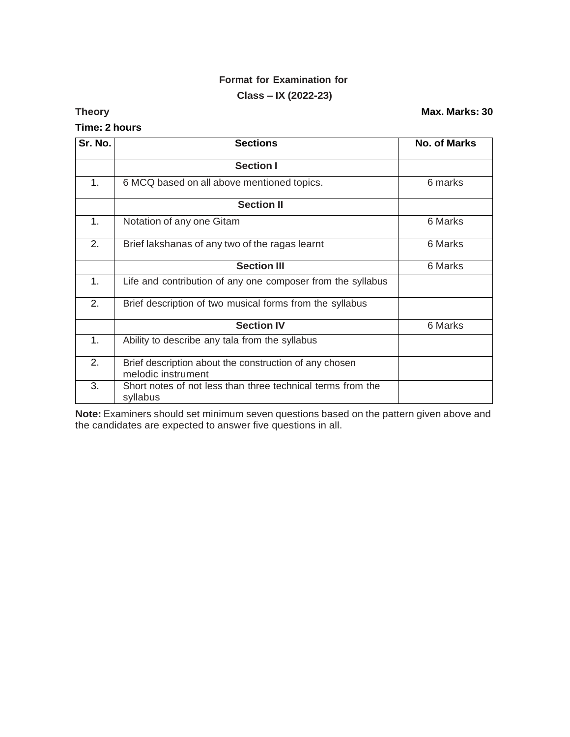# **Format for Examination for Class – IX (2022-23)**

### **Time: 2 hours**

**Theory Max. Marks: 30**

| Sr. No. | <b>Sections</b>                                                              | <b>No. of Marks</b> |
|---------|------------------------------------------------------------------------------|---------------------|
|         | <b>Section I</b>                                                             |                     |
| 1.      | 6 MCQ based on all above mentioned topics.                                   | 6 marks             |
|         | <b>Section II</b>                                                            |                     |
| 1.      | Notation of any one Gitam                                                    | 6 Marks             |
| 2.      | Brief lakshanas of any two of the ragas learnt                               | 6 Marks             |
|         | <b>Section III</b>                                                           | 6 Marks             |
| 1.      | Life and contribution of any one composer from the syllabus                  |                     |
| 2.      | Brief description of two musical forms from the syllabus                     |                     |
|         | <b>Section IV</b>                                                            | 6 Marks             |
| 1.      | Ability to describe any tala from the syllabus                               |                     |
| 2.      | Brief description about the construction of any chosen<br>melodic instrument |                     |
| 3.      | Short notes of not less than three technical terms from the<br>syllabus      |                     |

**Note:** Examiners should set minimum seven questions based on the pattern given above and the candidates are expected to answer five questions in all.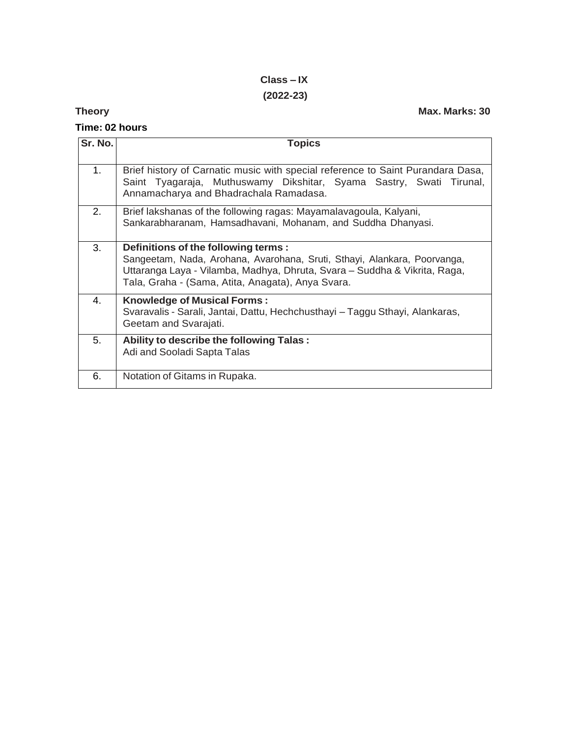# **Class – IX (2022-23)**

## **Theory Max. Marks: 30**

| Time: 02 hours |                                                                                                                                                                                                                                                   |  |
|----------------|---------------------------------------------------------------------------------------------------------------------------------------------------------------------------------------------------------------------------------------------------|--|
| Sr. No.        | <b>Topics</b>                                                                                                                                                                                                                                     |  |
| 1.             | Brief history of Carnatic music with special reference to Saint Purandara Dasa,<br>Saint Tyagaraja, Muthuswamy Dikshitar, Syama Sastry, Swati Tirunal,<br>Annamacharya and Bhadrachala Ramadasa.                                                  |  |
| 2.             | Brief lakshanas of the following ragas: Mayamalavagoula, Kalyani,<br>Sankarabharanam, Hamsadhavani, Mohanam, and Suddha Dhanyasi.                                                                                                                 |  |
| 3.             | Definitions of the following terms:<br>Sangeetam, Nada, Arohana, Avarohana, Sruti, Sthayi, Alankara, Poorvanga,<br>Uttaranga Laya - Vilamba, Madhya, Dhruta, Svara – Suddha & Vikrita, Raga,<br>Tala, Graha - (Sama, Atita, Anagata), Anya Svara. |  |
| 4.             | <b>Knowledge of Musical Forms:</b><br>Svaravalis - Sarali, Jantai, Dattu, Hechchusthayi - Taggu Sthayi, Alankaras,<br>Geetam and Svarajati.                                                                                                       |  |
| 5.             | Ability to describe the following Talas:                                                                                                                                                                                                          |  |

|  | Adi and Sooladi Sapta Talas   |
|--|-------------------------------|
|  | Notation of Gitams in Rupaka. |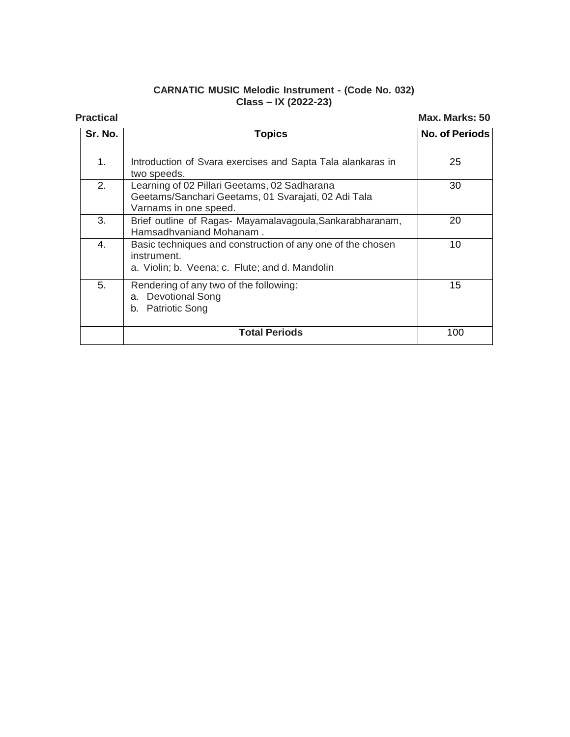### **CARNATIC MUSIC Melodic Instrument - (Code No. 032) Class – IX (2022-23)**

**Practical Max. Marks: 50**

| Sr. No. | <b>Topics</b>                                                                                                                | <b>No. of Periods</b> |
|---------|------------------------------------------------------------------------------------------------------------------------------|-----------------------|
| 1.      | Introduction of Svara exercises and Sapta Tala alankaras in<br>two speeds.                                                   | 25                    |
| 2.      | Learning of 02 Pillari Geetams, 02 Sadharana<br>Geetams/Sanchari Geetams, 01 Svarajati, 02 Adi Tala<br>Varnams in one speed. | 30                    |
| 3.      | Brief outline of Ragas- Mayamalavagoula, Sankarabharanam,<br>Hamsadhvaniand Mohanam.                                         | 20                    |
| 4.      | Basic techniques and construction of any one of the chosen<br>instrument.<br>a. Violin; b. Veena; c. Flute; and d. Mandolin  | 10                    |
| 5.      | Rendering of any two of the following:<br><b>Devotional Song</b><br>a.<br><b>Patriotic Song</b><br>b.                        | 15                    |
|         | <b>Total Periods</b>                                                                                                         | 100                   |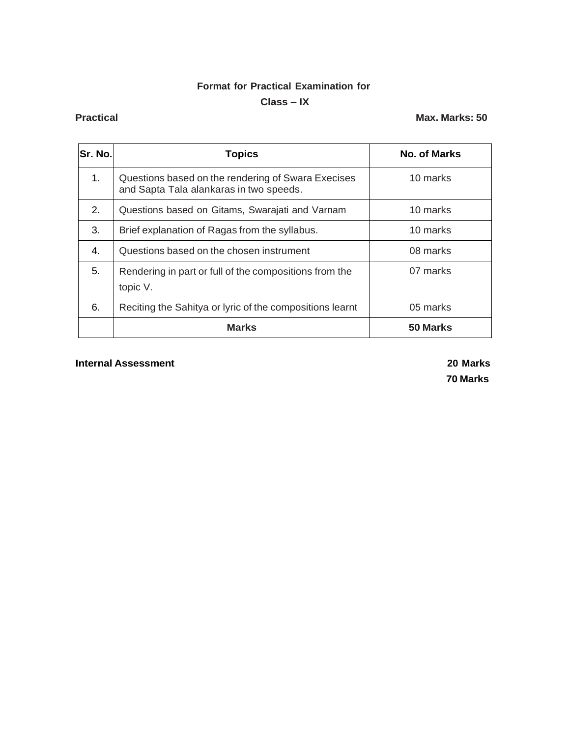## **Format for Practical Examination for**

### **Class – IX**

### **Practical Max. Marks: 50**

| Sr. No. | <b>Topics</b>                                                                                 | <b>No. of Marks</b> |
|---------|-----------------------------------------------------------------------------------------------|---------------------|
| 1.      | Questions based on the rendering of Swara Execises<br>and Sapta Tala alankaras in two speeds. | 10 marks            |
| 2.      | Questions based on Gitams, Swarajati and Varnam                                               | 10 marks            |
| 3.      | Brief explanation of Ragas from the syllabus.                                                 | 10 marks            |
| 4.      | Questions based on the chosen instrument                                                      | 08 marks            |
| 5.      | Rendering in part or full of the compositions from the<br>topic V.                            | 07 marks            |
| 6.      | Reciting the Sahitya or lyric of the compositions learnt                                      | 05 marks            |
|         | <b>Marks</b>                                                                                  | 50 Marks            |

### **Internal Assessment 20 Marks**

**70 Marks**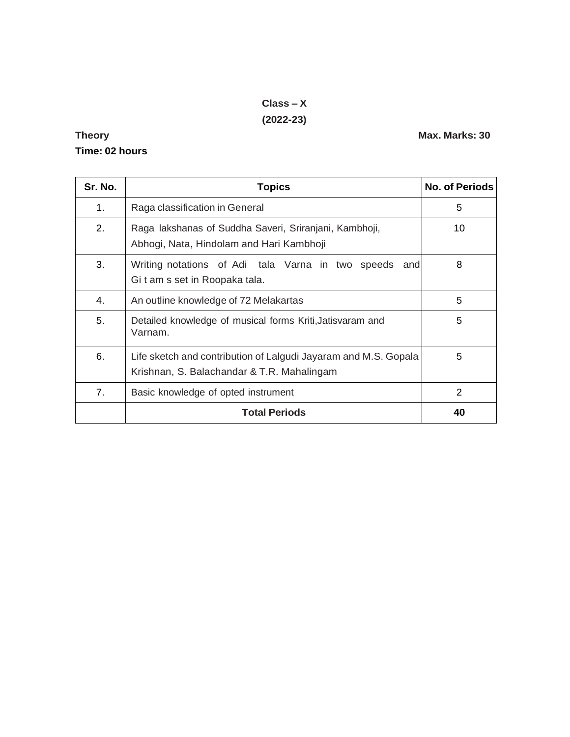# **Class – X (2022-23)**

# **Time: 02 hours**

| Sr. No. | <b>Topics</b>                                                                                                 | <b>No. of Periods</b> |
|---------|---------------------------------------------------------------------------------------------------------------|-----------------------|
| 1.      | Raga classification in General                                                                                | 5                     |
| 2.      | Raga lakshanas of Suddha Saveri, Sriranjani, Kambhoji,<br>Abhogi, Nata, Hindolam and Hari Kambhoji            | 10                    |
| 3.      | Writing notations of Adi tala Varna in two speeds<br>and<br>Git am s set in Roopaka tala.                     | 8                     |
| 4.      | An outline knowledge of 72 Melakartas                                                                         | 5                     |
| 5.      | Detailed knowledge of musical forms Kriti, Jatisvaram and<br>Varnam.                                          | 5                     |
| 6.      | Life sketch and contribution of Lalgudi Jayaram and M.S. Gopala<br>Krishnan, S. Balachandar & T.R. Mahalingam | 5                     |
| 7.      | Basic knowledge of opted instrument                                                                           | 2                     |
|         | <b>Total Periods</b>                                                                                          | 40                    |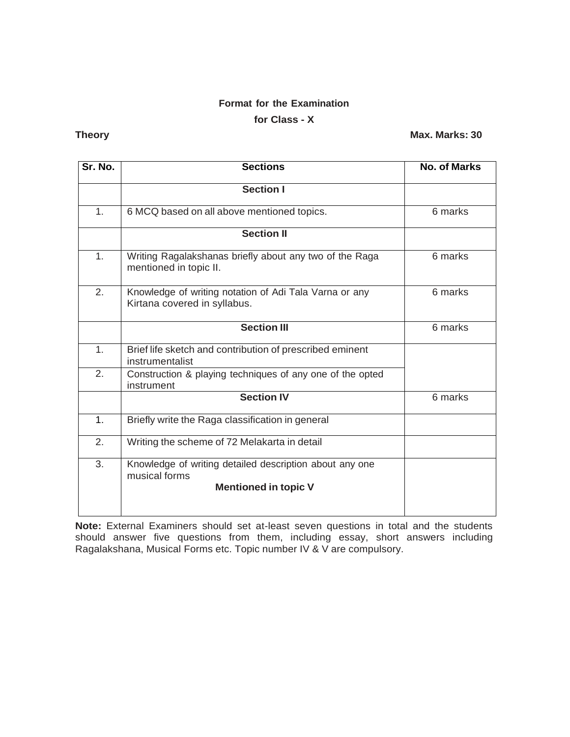# **Format for the Examination**

## **for Class - X**

## **Theory Max. Marks: 30**

| Sr. No.        | <b>Sections</b>                                                                        | <b>No. of Marks</b> |
|----------------|----------------------------------------------------------------------------------------|---------------------|
|                | <b>Section I</b>                                                                       |                     |
| 1.             | 6 MCQ based on all above mentioned topics.                                             | 6 marks             |
|                | <b>Section II</b>                                                                      |                     |
| 1.             | Writing Ragalakshanas briefly about any two of the Raga<br>mentioned in topic II.      | 6 marks             |
| 2.             | Knowledge of writing notation of Adi Tala Varna or any<br>Kirtana covered in syllabus. | 6 marks             |
|                | <b>Section III</b>                                                                     | 6 marks             |
| 1.             | Brief life sketch and contribution of prescribed eminent<br>instrumentalist            |                     |
| 2.             | Construction & playing techniques of any one of the opted<br>instrument                |                     |
|                | <b>Section IV</b>                                                                      | 6 marks             |
| 1 <sub>1</sub> | Briefly write the Raga classification in general                                       |                     |
| 2.             | Writing the scheme of 72 Melakarta in detail                                           |                     |
| 3.             | Knowledge of writing detailed description about any one<br>musical forms               |                     |
|                | <b>Mentioned in topic V</b>                                                            |                     |

**Note:** External Examiners should set at-least seven questions in total and the students should answer five questions from them, including essay, short answers including Ragalakshana, Musical Forms etc. Topic number IV & V are compulsory.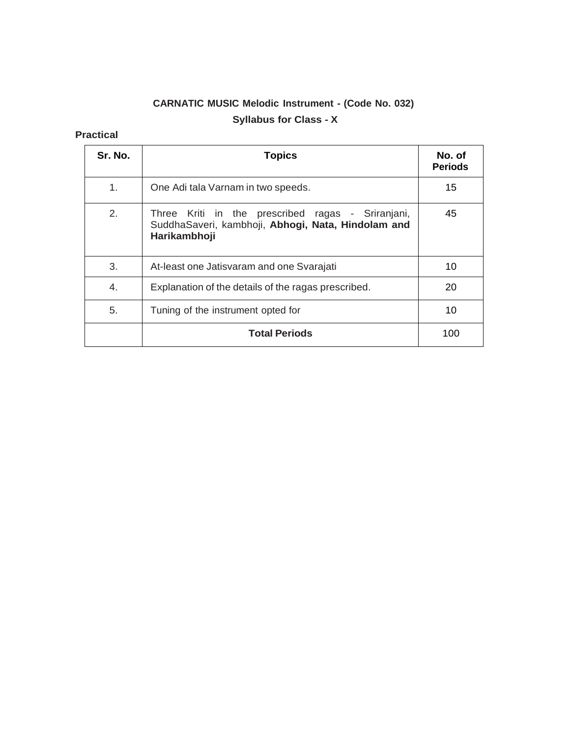# **CARNATIC MUSIC Melodic Instrument - (Code No. 032) Syllabus for Class - X**

## **Practical**

| Sr. No. | <b>Topics</b>                                                                                                           | No. of<br><b>Periods</b> |
|---------|-------------------------------------------------------------------------------------------------------------------------|--------------------------|
| 1.      | One Adi tala Varnam in two speeds.                                                                                      | 15                       |
| 2.      | Three Kriti in the prescribed ragas - Sriranjani,<br>SuddhaSaveri, kambhoji, Abhogi, Nata, Hindolam and<br>Harikambhoji | 45                       |
| 3.      | At-least one Jatisvaram and one Svarajati                                                                               | 10                       |
| 4.      | Explanation of the details of the ragas prescribed.                                                                     | 20                       |
| 5.      | Tuning of the instrument opted for                                                                                      | 10                       |
|         | <b>Total Periods</b>                                                                                                    | 100                      |